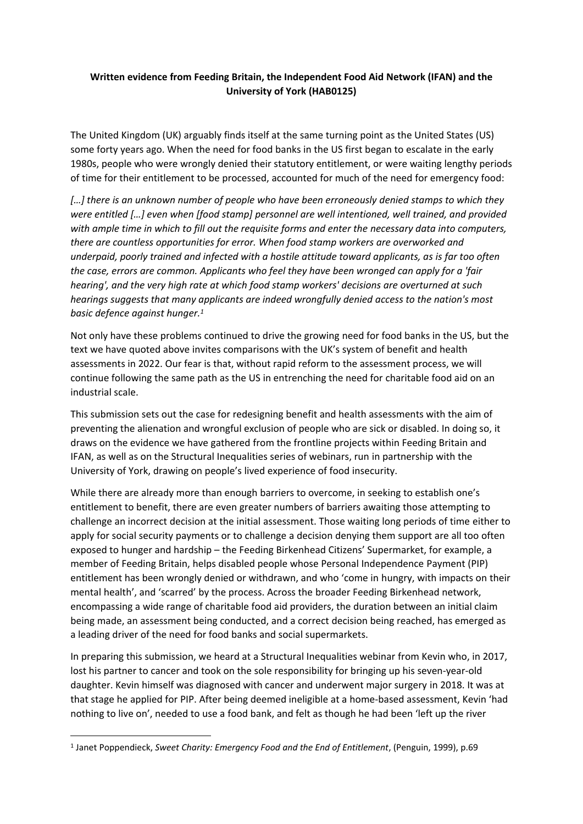## **Written evidence from Feeding Britain, the Independent Food Aid Network (IFAN) and the University of York (HAB0125)**

The United Kingdom (UK) arguably finds itself at the same turning point as the United States (US) some forty years ago. When the need for food banks in the US first began to escalate in the early 1980s, people who were wrongly denied their statutory entitlement, or were waiting lengthy periods of time for their entitlement to be processed, accounted for much of the need for emergency food:

*[…] there is an unknown number of people who have been erroneously denied stamps to which they were entitled […] even when [food stamp] personnel are well intentioned, well trained, and provided* with ample time in which to fill out the requisite forms and enter the necessary data into computers, *there are countless opportunities for error. When food stamp workers are overworked and underpaid, poorly trained and infected with a hostile attitude toward applicants, as is far too often the case, errors are common. Applicants who feel they have been wronged can apply for a 'fair hearing', and the very high rate at which food stamp workers' decisions are overturned at such hearings suggests that many applicants are indeed wrongfully denied access to the nation's most basic defence against hunger.<sup>1</sup>*

Not only have these problems continued to drive the growing need for food banks in the US, but the text we have quoted above invites comparisons with the UK's system of benefit and health assessments in 2022. Our fear is that, without rapid reform to the assessment process, we will continue following the same path as the US in entrenching the need for charitable food aid on an industrial scale.

This submission sets out the case for redesigning benefit and health assessments with the aim of preventing the alienation and wrongful exclusion of people who are sick or disabled. In doing so, it draws on the evidence we have gathered from the frontline projects within Feeding Britain and IFAN, as well as on the Structural Inequalities series of webinars, run in partnership with the University of York, drawing on people's lived experience of food insecurity.

While there are already more than enough barriers to overcome, in seeking to establish one's entitlement to benefit, there are even greater numbers of barriers awaiting those attempting to challenge an incorrect decision at the initial assessment. Those waiting long periods of time either to apply for social security payments or to challenge a decision denying them support are all too often exposed to hunger and hardship – the Feeding Birkenhead Citizens' Supermarket, for example, a member of Feeding Britain, helps disabled people whose Personal Independence Payment (PIP) entitlement has been wrongly denied or withdrawn, and who 'come in hungry, with impacts on their mental health', and 'scarred' by the process. Across the broader Feeding Birkenhead network, encompassing a wide range of charitable food aid providers, the duration between an initial claim being made, an assessment being conducted, and a correct decision being reached, has emerged as a leading driver of the need for food banks and social supermarkets.

In preparing this submission, we heard at a Structural Inequalities webinar from Kevin who, in 2017, lost his partner to cancer and took on the sole responsibility for bringing up his seven-year-old daughter. Kevin himself was diagnosed with cancer and underwent major surgery in 2018. It was at that stage he applied for PIP. After being deemed ineligible at a home-based assessment, Kevin 'had nothing to live on', needed to use a food bank, and felt as though he had been 'left up the river

<sup>1</sup> Janet Poppendieck, *Sweet Charity: Emergency Food and the End of Entitlement*, (Penguin, 1999), p.69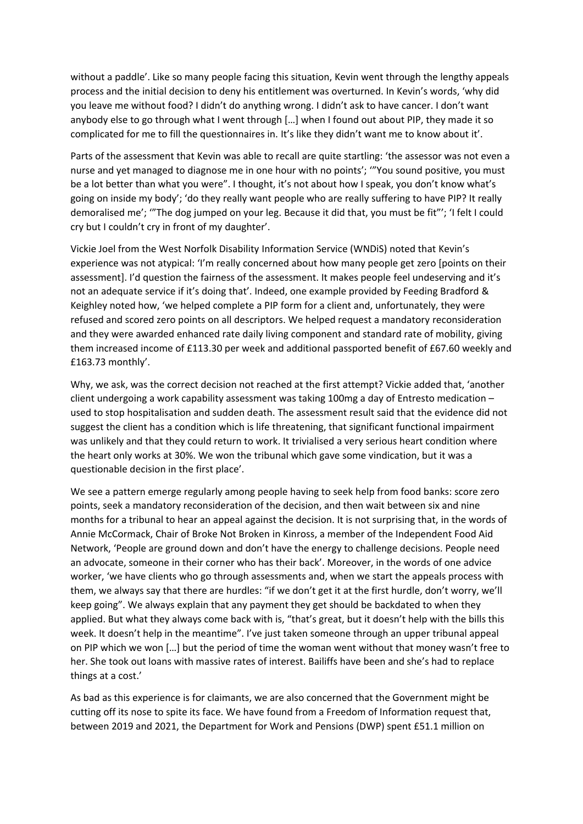without a paddle'. Like so many people facing this situation, Kevin went through the lengthy appeals process and the initial decision to deny his entitlement was overturned. In Kevin's words, 'why did you leave me without food? I didn't do anything wrong. I didn't ask to have cancer. I don't want anybody else to go through what I went through […] when I found out about PIP, they made it so complicated for me to fill the questionnaires in. It's like they didn't want me to know about it'.

Parts of the assessment that Kevin was able to recall are quite startling: 'the assessor was not even a nurse and yet managed to diagnose me in one hour with no points'; '"You sound positive, you must be a lot better than what you were". I thought, it's not about how I speak, you don't know what's going on inside my body'; 'do they really want people who are really suffering to have PIP? It really demoralised me'; '"The dog jumped on your leg. Because it did that, you must be fit"'; 'I felt I could cry but I couldn't cry in front of my daughter'.

Vickie Joel from the West Norfolk Disability Information Service (WNDiS) noted that Kevin's experience was not atypical: 'I'm really concerned about how many people get zero [points on their assessment]. I'd question the fairness of the assessment. It makes people feel undeserving and it's not an adequate service if it's doing that'. Indeed, one example provided by Feeding Bradford & Keighley noted how, 'we helped complete a PIP form for a client and, unfortunately, they were refused and scored zero points on all descriptors. We helped request a mandatory reconsideration and they were awarded enhanced rate daily living component and standard rate of mobility, giving them increased income of £113.30 per week and additional passported benefit of £67.60 weekly and £163.73 monthly'.

Why, we ask, was the correct decision not reached at the first attempt? Vickie added that, 'another client undergoing a work capability assessment was taking 100mg a day of Entresto medication – used to stop hospitalisation and sudden death. The assessment result said that the evidence did not suggest the client has a condition which is life threatening, that significant functional impairment was unlikely and that they could return to work. It trivialised a very serious heart condition where the heart only works at 30%. We won the tribunal which gave some vindication, but it was a questionable decision in the first place'.

We see a pattern emerge regularly among people having to seek help from food banks: score zero points, seek a mandatory reconsideration of the decision, and then wait between six and nine months for a tribunal to hear an appeal against the decision. It is not surprising that, in the words of Annie McCormack, Chair of Broke Not Broken in Kinross, a member of the Independent Food Aid Network, 'People are ground down and don't have the energy to challenge decisions. People need an advocate, someone in their corner who has their back'. Moreover, in the words of one advice worker, 'we have clients who go through assessments and, when we start the appeals process with them, we always say that there are hurdles: "if we don't get it at the first hurdle, don't worry, we'll keep going". We always explain that any payment they get should be backdated to when they applied. But what they always come back with is, "that's great, but it doesn't help with the bills this week. It doesn't help in the meantime". I've just taken someone through an upper tribunal appeal on PIP which we won […] but the period of time the woman went without that money wasn't free to her. She took out loans with massive rates of interest. Bailiffs have been and she's had to replace things at a cost.'

As bad as this experience is for claimants, we are also concerned that the Government might be cutting off its nose to spite its face. We have found from a Freedom of Information request that, between 2019 and 2021, the Department for Work and Pensions (DWP) spent £51.1 million on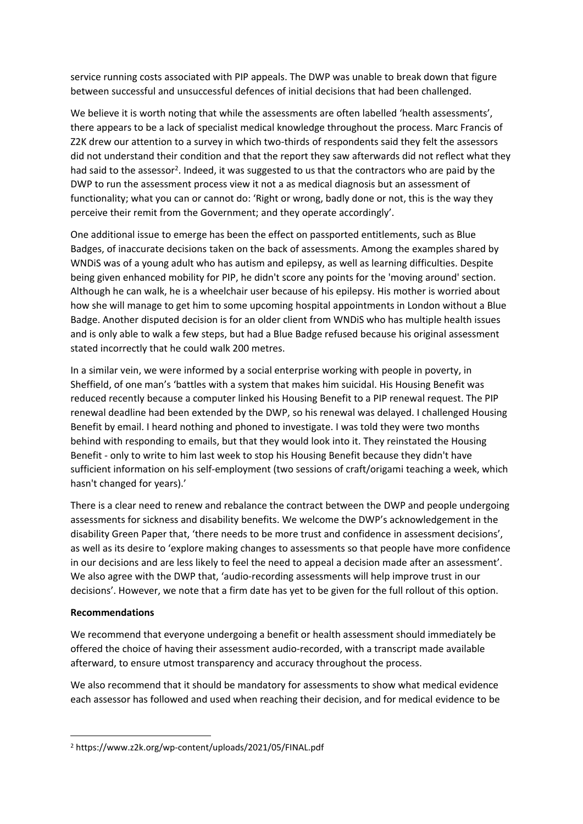service running costs associated with PIP appeals. The DWP was unable to break down that figure between successful and unsuccessful defences of initial decisions that had been challenged.

We believe it is worth noting that while the assessments are often labelled 'health assessments', there appears to be a lack of specialist medical knowledge throughout the process. Marc Francis of Z2K drew our attention to a survey in which two-thirds of respondents said they felt the assessors did not understand their condition and that the report they saw afterwards did not reflect what they had said to the assessor<sup>2</sup>. Indeed, it was suggested to us that the contractors who are paid by the DWP to run the assessment process view it not a as medical diagnosis but an assessment of functionality; what you can or cannot do: 'Right or wrong, badly done or not, this is the way they perceive their remit from the Government; and they operate accordingly'.

One additional issue to emerge has been the effect on passported entitlements, such as Blue Badges, of inaccurate decisions taken on the back of assessments. Among the examples shared by WNDiS was of a young adult who has autism and epilepsy, as well as learning difficulties. Despite being given enhanced mobility for PIP, he didn't score any points for the 'moving around' section. Although he can walk, he is a wheelchair user because of his epilepsy. His mother is worried about how she will manage to get him to some upcoming hospital appointments in London without a Blue Badge. Another disputed decision is for an older client from WNDiS who has multiple health issues and is only able to walk a few steps, but had a Blue Badge refused because his original assessment stated incorrectly that he could walk 200 metres.

In a similar vein, we were informed by a social enterprise working with people in poverty, in Sheffield, of one man's 'battles with a system that makes him suicidal. His Housing Benefit was reduced recently because a computer linked his Housing Benefit to a PIP renewal request. The PIP renewal deadline had been extended by the DWP, so his renewal was delayed. I challenged Housing Benefit by email. I heard nothing and phoned to investigate. I was told they were two months behind with responding to emails, but that they would look into it. They reinstated the Housing Benefit - only to write to him last week to stop his Housing Benefit because they didn't have sufficient information on his self-employment (two sessions of craft/origami teaching a week, which hasn't changed for years).'

There is a clear need to renew and rebalance the contract between the DWP and people undergoing assessments for sickness and disability benefits. We welcome the DWP's acknowledgement in the disability Green Paper that, 'there needs to be more trust and confidence in assessment decisions', as well as its desire to 'explore making changes to assessments so that people have more confidence in our decisions and are less likely to feel the need to appeal a decision made after an assessment'. We also agree with the DWP that, 'audio-recording assessments will help improve trust in our decisions'. However, we note that a firm date has yet to be given for the full rollout of this option.

## **Recommendations**

We recommend that everyone undergoing a benefit or health assessment should immediately be offered the choice of having their assessment audio-recorded, with a transcript made available afterward, to ensure utmost transparency and accuracy throughout the process.

We also recommend that it should be mandatory for assessments to show what medical evidence each assessor has followed and used when reaching their decision, and for medical evidence to be

<sup>2</sup> https://www.z2k.org/wp-content/uploads/2021/05/FINAL.pdf